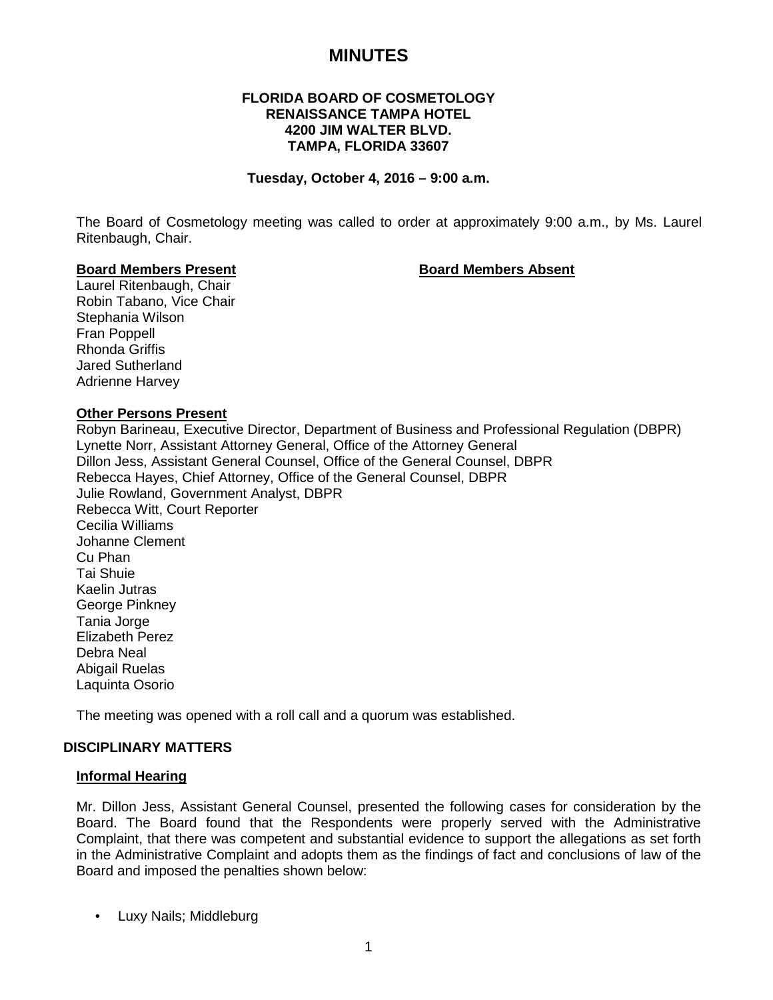# **MINUTES**

## **FLORIDA BOARD OF COSMETOLOGY RENAISSANCE TAMPA HOTEL 4200 JIM WALTER BLVD. TAMPA, FLORIDA 33607**

#### **Tuesday, October 4, 2016 – 9:00 a.m.**

The Board of Cosmetology meeting was called to order at approximately 9:00 a.m., by Ms. Laurel Ritenbaugh, Chair.

#### **Board Members Present Board Members Absent**

Laurel Ritenbaugh, Chair Robin Tabano, Vice Chair Stephania Wilson Fran Poppell Rhonda Griffis Jared Sutherland Adrienne Harvey

#### **Other Persons Present**

Robyn Barineau, Executive Director, Department of Business and Professional Regulation (DBPR) Lynette Norr, Assistant Attorney General, Office of the Attorney General Dillon Jess, Assistant General Counsel, Office of the General Counsel, DBPR Rebecca Hayes, Chief Attorney, Office of the General Counsel, DBPR Julie Rowland, Government Analyst, DBPR Rebecca Witt, Court Reporter Cecilia Williams Johanne Clement Cu Phan Tai Shuie Kaelin Jutras George Pinkney Tania Jorge Elizabeth Perez Debra Neal Abigail Ruelas Laquinta Osorio

The meeting was opened with a roll call and a quorum was established.

#### **DISCIPLINARY MATTERS**

#### **Informal Hearing**

Mr. Dillon Jess, Assistant General Counsel, presented the following cases for consideration by the Board. The Board found that the Respondents were properly served with the Administrative Complaint, that there was competent and substantial evidence to support the allegations as set forth in the Administrative Complaint and adopts them as the findings of fact and conclusions of law of the Board and imposed the penalties shown below:

• Luxy Nails; Middleburg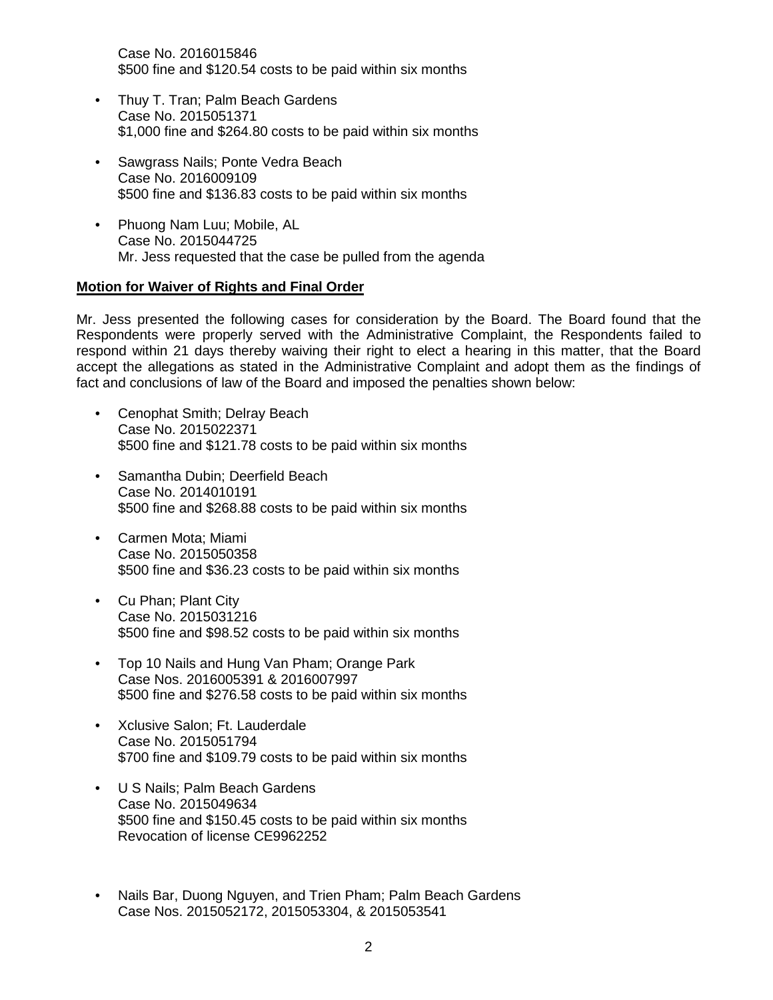Case No. 2016015846 \$500 fine and \$120.54 costs to be paid within six months

- Thuy T. Tran; Palm Beach Gardens Case No. 2015051371 \$1,000 fine and \$264.80 costs to be paid within six months
- Sawgrass Nails; Ponte Vedra Beach Case No. 2016009109 \$500 fine and \$136.83 costs to be paid within six months
- Phuong Nam Luu; Mobile, AL Case No. 2015044725 Mr. Jess requested that the case be pulled from the agenda

## **Motion for Waiver of Rights and Final Order**

Mr. Jess presented the following cases for consideration by the Board. The Board found that the Respondents were properly served with the Administrative Complaint, the Respondents failed to respond within 21 days thereby waiving their right to elect a hearing in this matter, that the Board accept the allegations as stated in the Administrative Complaint and adopt them as the findings of fact and conclusions of law of the Board and imposed the penalties shown below:

- Cenophat Smith; Delray Beach Case No. 2015022371 \$500 fine and \$121.78 costs to be paid within six months
- Samantha Dubin; Deerfield Beach Case No. 2014010191 \$500 fine and \$268.88 costs to be paid within six months
- Carmen Mota; Miami Case No. 2015050358 \$500 fine and \$36.23 costs to be paid within six months
- Cu Phan; Plant City Case No. 2015031216 \$500 fine and \$98.52 costs to be paid within six months
- Top 10 Nails and Hung Van Pham; Orange Park Case Nos. 2016005391 & 2016007997 \$500 fine and \$276.58 costs to be paid within six months
- Xclusive Salon; Ft. Lauderdale Case No. 2015051794 \$700 fine and \$109.79 costs to be paid within six months
- U S Nails; Palm Beach Gardens Case No. 2015049634 \$500 fine and \$150.45 costs to be paid within six months Revocation of license CE9962252
- Nails Bar, Duong Nguyen, and Trien Pham; Palm Beach Gardens Case Nos. 2015052172, 2015053304, & 2015053541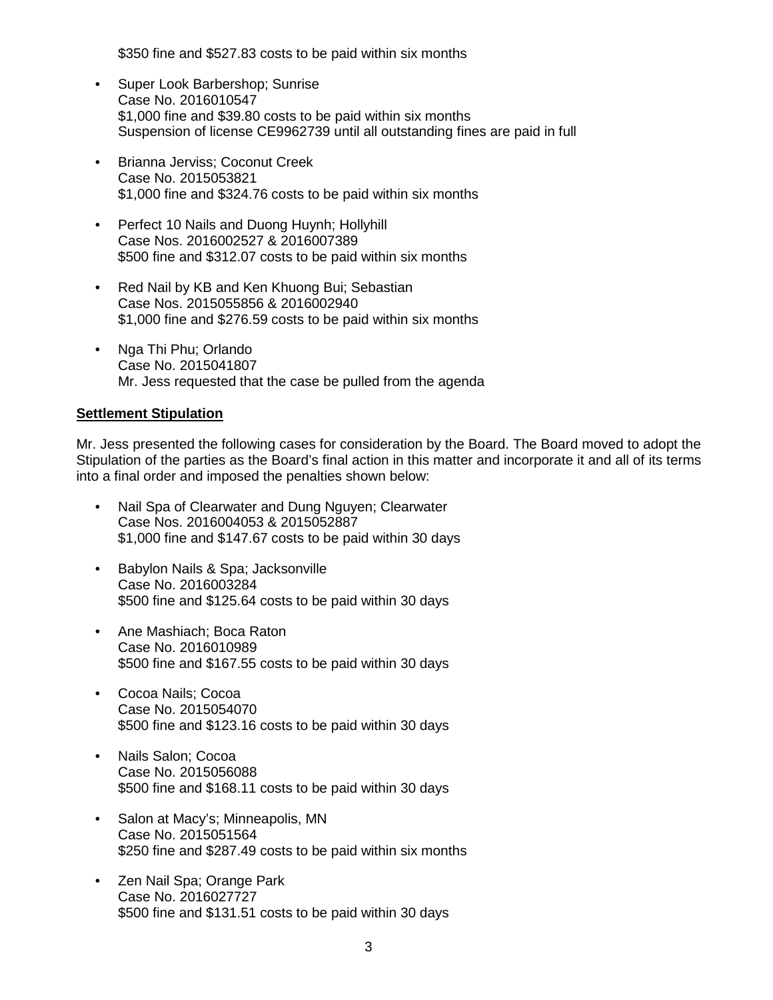\$350 fine and \$527.83 costs to be paid within six months

- Super Look Barbershop; Sunrise Case No. 2016010547 \$1,000 fine and \$39.80 costs to be paid within six months Suspension of license CE9962739 until all outstanding fines are paid in full
- Brianna Jerviss; Coconut Creek Case No. 2015053821 \$1,000 fine and \$324.76 costs to be paid within six months
- Perfect 10 Nails and Duong Huynh; Hollyhill Case Nos. 2016002527 & 2016007389 \$500 fine and \$312.07 costs to be paid within six months
- Red Nail by KB and Ken Khuong Bui; Sebastian Case Nos. 2015055856 & 2016002940 \$1,000 fine and \$276.59 costs to be paid within six months
- Nga Thi Phu; Orlando Case No. 2015041807 Mr. Jess requested that the case be pulled from the agenda

## **Settlement Stipulation**

Mr. Jess presented the following cases for consideration by the Board. The Board moved to adopt the Stipulation of the parties as the Board's final action in this matter and incorporate it and all of its terms into a final order and imposed the penalties shown below:

- Nail Spa of Clearwater and Dung Nguyen; Clearwater Case Nos. 2016004053 & 2015052887 \$1,000 fine and \$147.67 costs to be paid within 30 days
- Babylon Nails & Spa; Jacksonville Case No. 2016003284 \$500 fine and \$125.64 costs to be paid within 30 days
- Ane Mashiach; Boca Raton Case No. 2016010989 \$500 fine and \$167.55 costs to be paid within 30 days
- Cocoa Nails; Cocoa Case No. 2015054070 \$500 fine and \$123.16 costs to be paid within 30 days
- Nails Salon; Cocoa Case No. 2015056088 \$500 fine and \$168.11 costs to be paid within 30 days
- Salon at Macy's; Minneapolis, MN Case No. 2015051564 \$250 fine and \$287.49 costs to be paid within six months
- Zen Nail Spa; Orange Park Case No. 2016027727 \$500 fine and \$131.51 costs to be paid within 30 days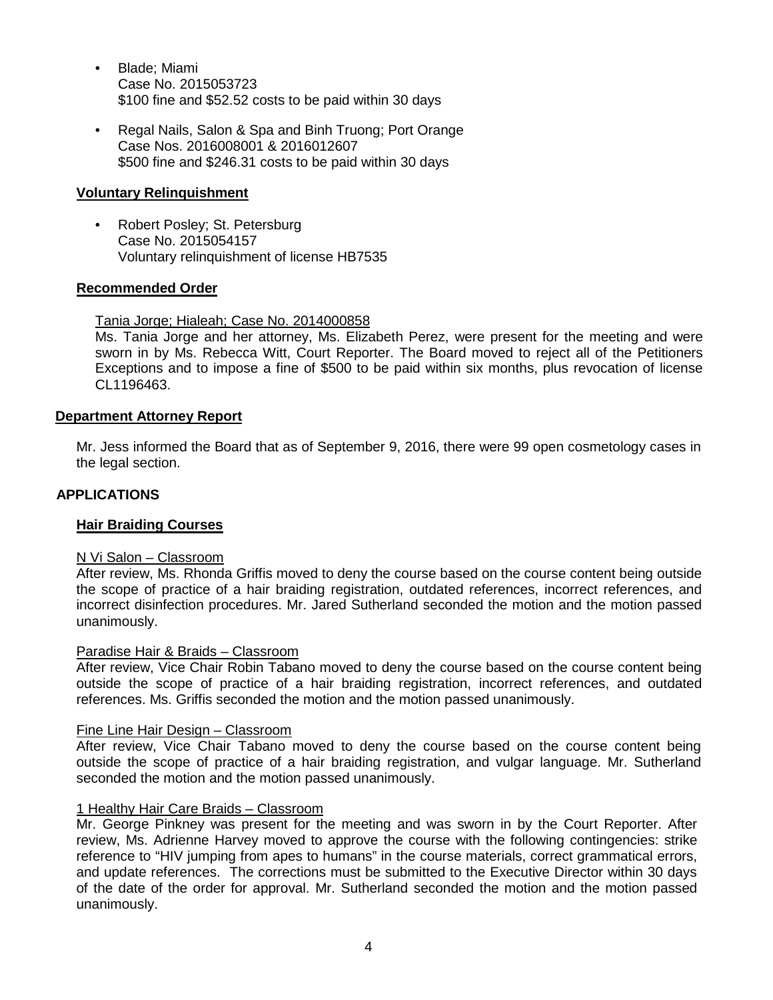- Blade; Miami Case No. 2015053723 \$100 fine and \$52.52 costs to be paid within 30 days
- Regal Nails, Salon & Spa and Binh Truong; Port Orange Case Nos. 2016008001 & 2016012607 \$500 fine and \$246.31 costs to be paid within 30 days

## **Voluntary Relinquishment**

• Robert Posley; St. Petersburg Case No. 2015054157 Voluntary relinquishment of license HB7535

## **Recommended Order**

Tania Jorge; Hialeah; Case No. 2014000858

Ms. Tania Jorge and her attorney, Ms. Elizabeth Perez, were present for the meeting and were sworn in by Ms. Rebecca Witt, Court Reporter. The Board moved to reject all of the Petitioners Exceptions and to impose a fine of \$500 to be paid within six months, plus revocation of license CL1196463.

#### **Department Attorney Report**

Mr. Jess informed the Board that as of September 9, 2016, there were 99 open cosmetology cases in the legal section.

## **APPLICATIONS**

#### **Hair Braiding Courses**

#### N Vi Salon – Classroom

After review, Ms. Rhonda Griffis moved to deny the course based on the course content being outside the scope of practice of a hair braiding registration, outdated references, incorrect references, and incorrect disinfection procedures. Mr. Jared Sutherland seconded the motion and the motion passed unanimously.

#### Paradise Hair & Braids – Classroom

After review, Vice Chair Robin Tabano moved to deny the course based on the course content being outside the scope of practice of a hair braiding registration, incorrect references, and outdated references. Ms. Griffis seconded the motion and the motion passed unanimously.

#### Fine Line Hair Design – Classroom

After review, Vice Chair Tabano moved to deny the course based on the course content being outside the scope of practice of a hair braiding registration, and vulgar language. Mr. Sutherland seconded the motion and the motion passed unanimously.

#### 1 Healthy Hair Care Braids – Classroom

Mr. George Pinkney was present for the meeting and was sworn in by the Court Reporter. After review, Ms. Adrienne Harvey moved to approve the course with the following contingencies: strike reference to "HIV jumping from apes to humans" in the course materials, correct grammatical errors, and update references. The corrections must be submitted to the Executive Director within 30 days of the date of the order for approval. Mr. Sutherland seconded the motion and the motion passed unanimously.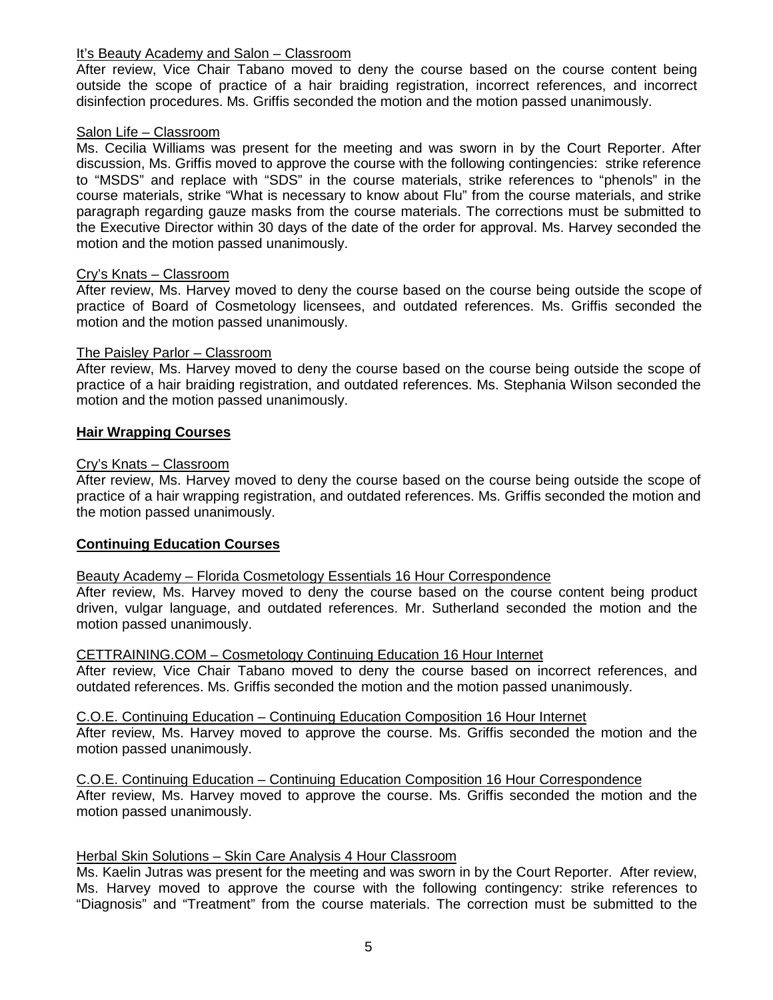## It's Beauty Academy and Salon – Classroom

After review, Vice Chair Tabano moved to deny the course based on the course content being outside the scope of practice of a hair braiding registration, incorrect references, and incorrect disinfection procedures. Ms. Griffis seconded the motion and the motion passed unanimously.

#### Salon Life – Classroom

Ms. Cecilia Williams was present for the meeting and was sworn in by the Court Reporter. After discussion, Ms. Griffis moved to approve the course with the following contingencies: strike reference to "MSDS" and replace with "SDS" in the course materials, strike references to "phenols" in the course materials, strike "What is necessary to know about Flu" from the course materials, and strike paragraph regarding gauze masks from the course materials. The corrections must be submitted to the Executive Director within 30 days of the date of the order for approval. Ms. Harvey seconded the motion and the motion passed unanimously.

## Cry's Knats – Classroom

After review, Ms. Harvey moved to deny the course based on the course being outside the scope of practice of Board of Cosmetology licensees, and outdated references. Ms. Griffis seconded the motion and the motion passed unanimously.

## The Paisley Parlor – Classroom

After review, Ms. Harvey moved to deny the course based on the course being outside the scope of practice of a hair braiding registration, and outdated references. Ms. Stephania Wilson seconded the motion and the motion passed unanimously.

## **Hair Wrapping Courses**

## Cry's Knats – Classroom

After review, Ms. Harvey moved to deny the course based on the course being outside the scope of practice of a hair wrapping registration, and outdated references. Ms. Griffis seconded the motion and the motion passed unanimously.

## **Continuing Education Courses**

#### Beauty Academy – Florida Cosmetology Essentials 16 Hour Correspondence

After review, Ms. Harvey moved to deny the course based on the course content being product driven, vulgar language, and outdated references. Mr. Sutherland seconded the motion and the motion passed unanimously.

#### CETTRAINING.COM – Cosmetology Continuing Education 16 Hour Internet

After review, Vice Chair Tabano moved to deny the course based on incorrect references, and outdated references. Ms. Griffis seconded the motion and the motion passed unanimously.

#### C.O.E. Continuing Education – Continuing Education Composition 16 Hour Internet

After review, Ms. Harvey moved to approve the course. Ms. Griffis seconded the motion and the motion passed unanimously.

C.O.E. Continuing Education – Continuing Education Composition 16 Hour Correspondence After review, Ms. Harvey moved to approve the course. Ms. Griffis seconded the motion and the motion passed unanimously.

#### Herbal Skin Solutions – Skin Care Analysis 4 Hour Classroom

Ms. Kaelin Jutras was present for the meeting and was sworn in by the Court Reporter. After review, Ms. Harvey moved to approve the course with the following contingency: strike references to "Diagnosis" and "Treatment" from the course materials. The correction must be submitted to the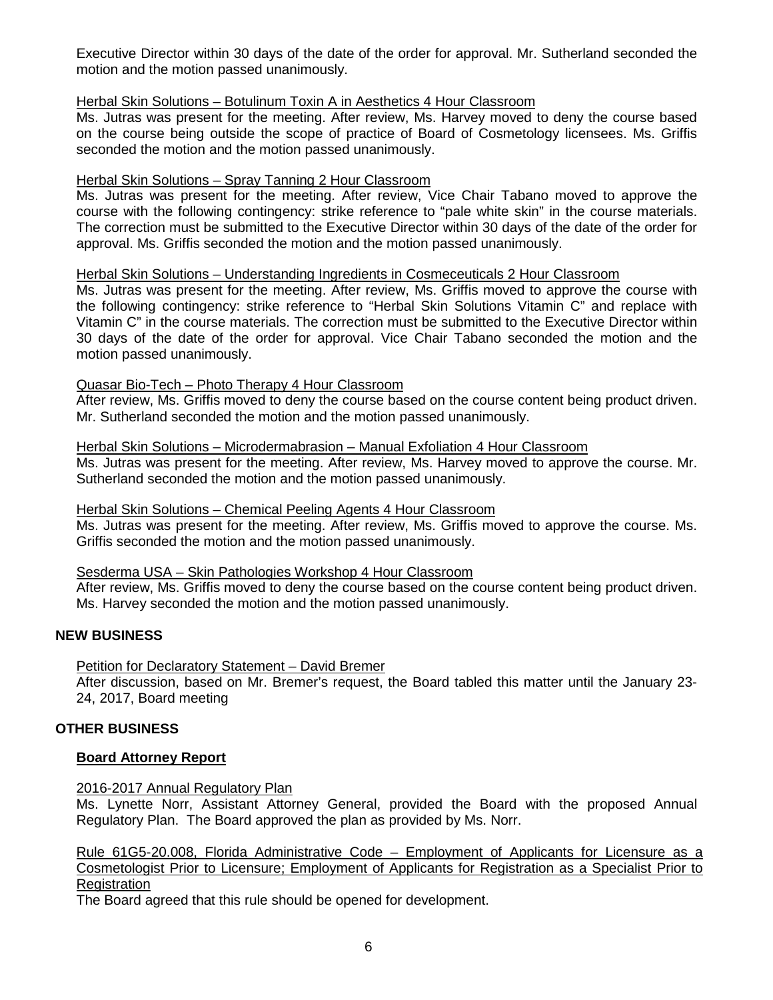Executive Director within 30 days of the date of the order for approval. Mr. Sutherland seconded the motion and the motion passed unanimously.

## Herbal Skin Solutions – Botulinum Toxin A in Aesthetics 4 Hour Classroom

Ms. Jutras was present for the meeting. After review, Ms. Harvey moved to deny the course based on the course being outside the scope of practice of Board of Cosmetology licensees. Ms. Griffis seconded the motion and the motion passed unanimously.

## Herbal Skin Solutions – Spray Tanning 2 Hour Classroom

Ms. Jutras was present for the meeting. After review, Vice Chair Tabano moved to approve the course with the following contingency: strike reference to "pale white skin" in the course materials. The correction must be submitted to the Executive Director within 30 days of the date of the order for approval. Ms. Griffis seconded the motion and the motion passed unanimously.

## Herbal Skin Solutions – Understanding Ingredients in Cosmeceuticals 2 Hour Classroom

Ms. Jutras was present for the meeting. After review, Ms. Griffis moved to approve the course with the following contingency: strike reference to "Herbal Skin Solutions Vitamin C" and replace with Vitamin C" in the course materials. The correction must be submitted to the Executive Director within 30 days of the date of the order for approval. Vice Chair Tabano seconded the motion and the motion passed unanimously.

## Quasar Bio-Tech – Photo Therapy 4 Hour Classroom

After review, Ms. Griffis moved to deny the course based on the course content being product driven. Mr. Sutherland seconded the motion and the motion passed unanimously.

#### Herbal Skin Solutions – Microdermabrasion – Manual Exfoliation 4 Hour Classroom

Ms. Jutras was present for the meeting. After review, Ms. Harvey moved to approve the course. Mr. Sutherland seconded the motion and the motion passed unanimously.

## Herbal Skin Solutions – Chemical Peeling Agents 4 Hour Classroom

Ms. Jutras was present for the meeting. After review, Ms. Griffis moved to approve the course. Ms. Griffis seconded the motion and the motion passed unanimously.

#### Sesderma USA – Skin Pathologies Workshop 4 Hour Classroom

After review, Ms. Griffis moved to deny the course based on the course content being product driven. Ms. Harvey seconded the motion and the motion passed unanimously.

## **NEW BUSINESS**

Petition for Declaratory Statement – David Bremer

After discussion, based on Mr. Bremer's request, the Board tabled this matter until the January 23- 24, 2017, Board meeting

#### **OTHER BUSINESS**

#### **Board Attorney Report**

#### 2016-2017 Annual Regulatory Plan

Ms. Lynette Norr, Assistant Attorney General, provided the Board with the proposed Annual Regulatory Plan. The Board approved the plan as provided by Ms. Norr.

Rule 61G5-20.008, Florida Administrative Code – Employment of Applicants for Licensure as a Cosmetologist Prior to Licensure; Employment of Applicants for Registration as a Specialist Prior to **Registration** 

The Board agreed that this rule should be opened for development.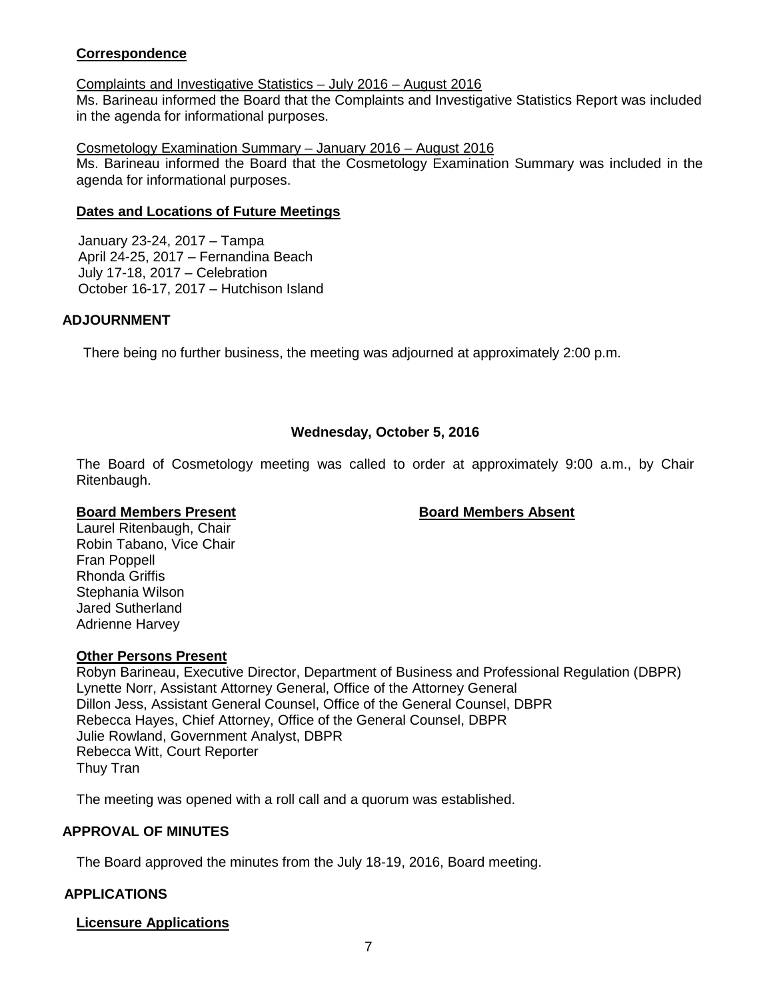## **Correspondence**

## Complaints and Investigative Statistics – July 2016 – August 2016

Ms. Barineau informed the Board that the Complaints and Investigative Statistics Report was included in the agenda for informational purposes.

Cosmetology Examination Summary – January 2016 – August 2016

Ms. Barineau informed the Board that the Cosmetology Examination Summary was included in the agenda for informational purposes.

## **Dates and Locations of Future Meetings**

January 23-24, 2017 – Tampa April 24-25, 2017 – Fernandina Beach July 17-18, 2017 – Celebration October 16-17, 2017 – Hutchison Island

## **ADJOURNMENT**

There being no further business, the meeting was adjourned at approximately 2:00 p.m.

## **Wednesday, October 5, 2016**

The Board of Cosmetology meeting was called to order at approximately 9:00 a.m., by Chair Ritenbaugh.

#### **Board Members Present Board Members Absent**

Laurel Ritenbaugh, Chair Robin Tabano, Vice Chair Fran Poppell Rhonda Griffis Stephania Wilson Jared Sutherland Adrienne Harvey

## **Other Persons Present**

Robyn Barineau, Executive Director, Department of Business and Professional Regulation (DBPR) Lynette Norr, Assistant Attorney General, Office of the Attorney General Dillon Jess, Assistant General Counsel, Office of the General Counsel, DBPR Rebecca Hayes, Chief Attorney, Office of the General Counsel, DBPR Julie Rowland, Government Analyst, DBPR Rebecca Witt, Court Reporter Thuy Tran

The meeting was opened with a roll call and a quorum was established.

## **APPROVAL OF MINUTES**

The Board approved the minutes from the July 18-19, 2016, Board meeting.

## **APPLICATIONS**

#### **Licensure Applications**